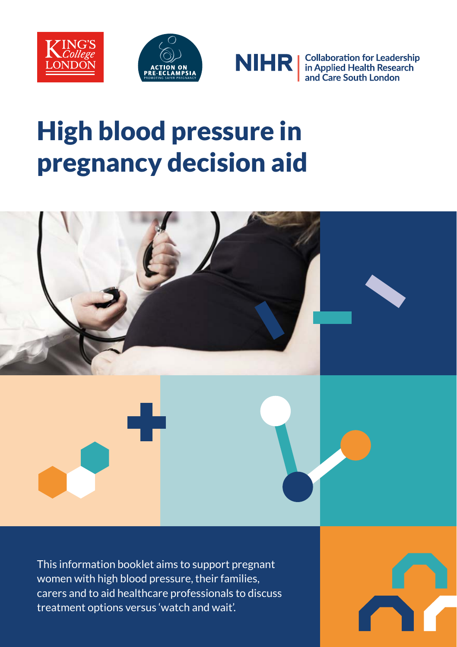





**Collaboration for Leadership<br>in Applied Health Research<br>and Care South London** 

# High blood pressure in pregnancy decision aid



This information booklet aims to support pregnant women with high blood pressure, their families, carers and to aid healthcare professionals to discuss treatment options versus 'watch and wait'.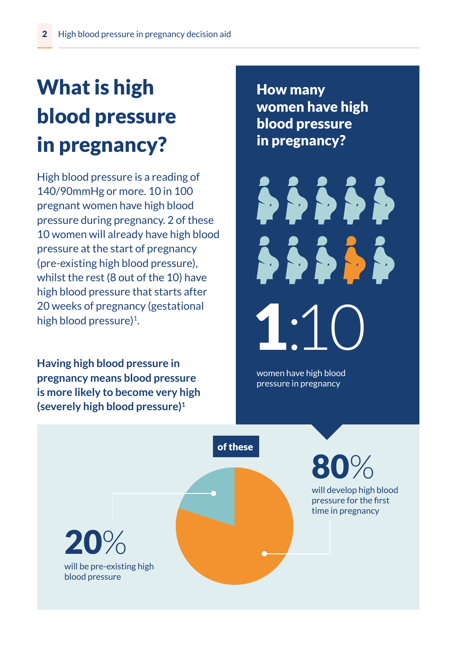# What is high blood pressure in pregnancy?

High blood pressure is a reading of 140/90mmHg or more. 10 in 100 pregnant women have high blood pressure during pregnancy. 2 of these 10 women will already have high blood pressure at the start of pregnancy (pre-existing high blood pressure), whilst the rest (8 out of the 10) have high blood pressure that starts after 20 weeks of pregnancy (gestational high blood pressure)<sup>1</sup>.

**Having high blood pressure in pregnancy means blood pressure is more likely to become very high (severely high blood pressure)1**

How many women have high blood pressure in pregnancy?

 $\bullet \bullet \bullet \bullet \bullet$ \$\$\$\$\$ 1:10

women have high blood pressure in pregnancy

of these

80%

will develop high blood pressure for the first time in pregnancy

will be pre-existing high blood pressure 20%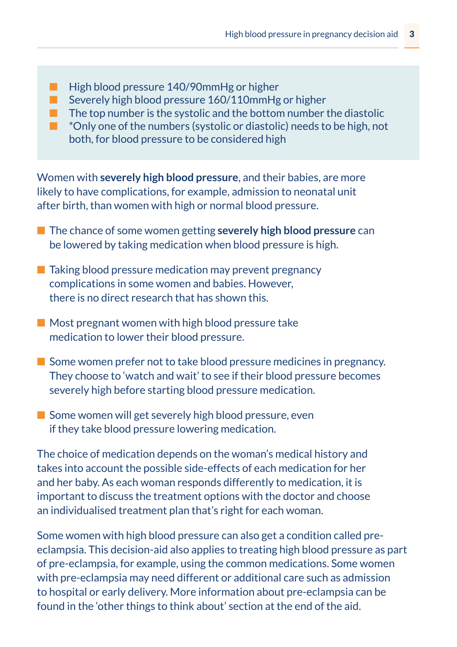- High blood pressure 140/90mmHg or higher
- Severely high blood pressure 160/110mmHg or higher
- $\blacksquare$  The top number is the systolic and the bottom number the diastolic
- <sup>\*</sup>Only one of the numbers (systolic or diastolic) needs to be high, not both, for blood pressure to be considered high

Women with **severely high blood pressure**, and their babies, are more likely to have complications, for example, admission to neonatal unit after birth, than women with high or normal blood pressure.

- The chance of some women getting **severely high blood pressure** can be lowered by taking medication when blood pressure is high.
- Taking blood pressure medication may prevent pregnancy complications in some women and babies. However, there is no direct research that has shown this.
- Most pregnant women with high blood pressure take medication to lower their blood pressure.
- Some women prefer not to take blood pressure medicines in pregnancy. They choose to 'watch and wait' to see if their blood pressure becomes severely high before starting blood pressure medication.
- Some women will get severely high blood pressure, even if they take blood pressure lowering medication.

The choice of medication depends on the woman's medical history and takes into account the possible side-effects of each medication for her and her baby. As each woman responds differently to medication, it is important to discuss the treatment options with the doctor and choose an individualised treatment plan that's right for each woman.

Some women with high blood pressure can also get a condition called preeclampsia. This decision-aid also applies to treating high blood pressure as part of pre-eclampsia, for example, using the common medications. Some women with pre-eclampsia may need different or additional care such as admission to hospital or early delivery. More information about pre-eclampsia can be found in the 'other things to think about' section at the end of the aid.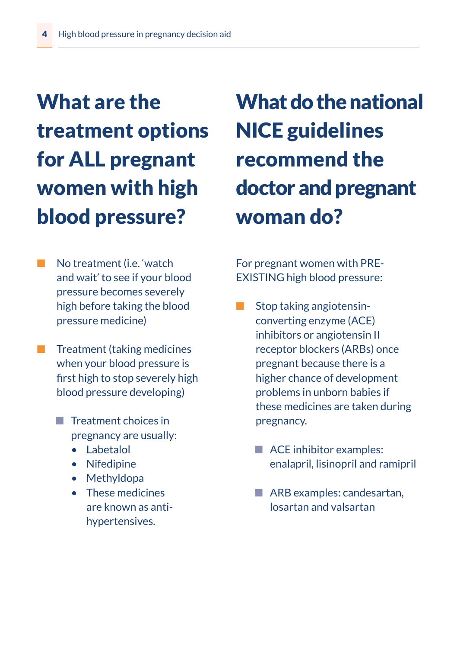# What are the treatment options for ALL pregnant women with high blood pressure?

- No treatment (*i.e.* 'watch and wait' to see if your blood pressure becomes severely high before taking the blood pressure medicine)
- Treatment (taking medicines when your blood pressure is first high to stop severely high blood pressure developing)
	- Treatment choices in pregnancy are usually:
		- Labetalol
		- Nifedipine
		- Methyldopa
		- These medicines are known as antihypertensives.

# What do the national NICE guidelines recommend the doctor and pregnant woman do?

For pregnant women with PRE-EXISTING high blood pressure:

- Stop taking angiotensinconverting enzyme (ACE) inhibitors or angiotensin II receptor blockers (ARBs) once pregnant because there is a higher chance of development problems in unborn babies if these medicines are taken during pregnancy.
	- ACE inhibitor examples: enalapril, lisinopril and ramipril
	- ARB examples: candesartan, losartan and valsartan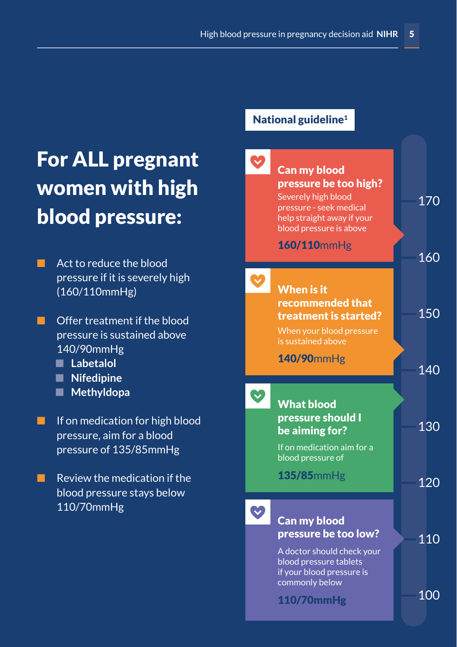### For ALL pregnant women with high blood pressure:

- Act to reduce the blood pressure if it is severely high (160/110mmHg)
- Offer treatment if the blood pressure is sustained above 140/90mmHg
	- Labetalol
	- **Nifedipine**
	- **Methyldopa**
- If on medication for high blood pressure, aim for a blood pressure of 135/85mmHg
- $\blacksquare$  Review the medication if the blood pressure stays below 110/70mmHg

#### National guideline<sup>1</sup>

| <b>Can my blood</b>                                                                                                              |     |
|----------------------------------------------------------------------------------------------------------------------------------|-----|
| pressure be too high?<br>Severely high blood<br>pressure - seek medical<br>help straight away if your<br>blood pressure is above | 170 |
| 160/110mmHg                                                                                                                      | 160 |
| <b>When is it</b><br>recommended that<br>treatment is started?<br>When your blood pressure<br>is sustained above                 | 150 |
| 140/90mmHg                                                                                                                       | 140 |
|                                                                                                                                  |     |
| <b>What blood</b><br>pressure should I<br>be aiming for?<br>If on medication aim for a                                           | 130 |
| blood pressure of<br>$135/85$ mm $Hg$                                                                                            | 120 |
| <b>Can my blood</b><br>pressure be too low?<br>A doctor should check your<br>blood pressure tablets<br>if your blood pressure is | 110 |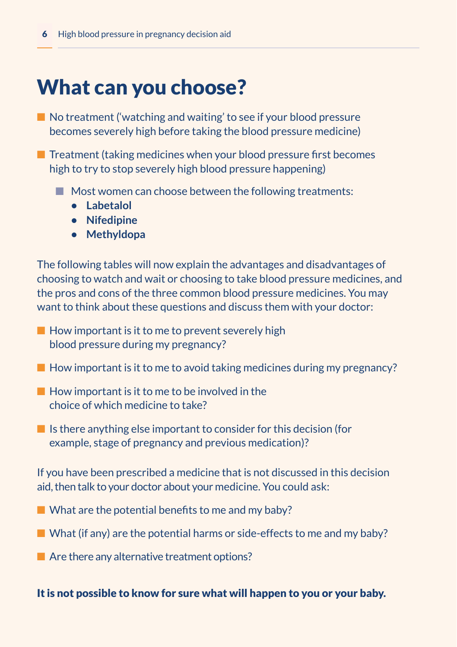#### What can you choose?

■ No treatment ('watching and waiting' to see if your blood pressure becomes severely high before taking the blood pressure medicine)

■ Treatment (taking medicines when your blood pressure first becomes high to try to stop severely high blood pressure happening)

- Most women can choose between the following treatments:
	- **• Labetalol**
	- **• Nifedipine**
	- **• Methyldopa**

The following tables will now explain the advantages and disadvantages of choosing to watch and wait or choosing to take blood pressure medicines, and the pros and cons of the three common blood pressure medicines. You may want to think about these questions and discuss them with your doctor:

- $\blacksquare$  How important is it to me to prevent severely high blood pressure during my pregnancy?
- $\blacksquare$  How important is it to me to avoid taking medicines during my pregnancy?
- $\blacksquare$  How important is it to me to be involved in the choice of which medicine to take?
- $\blacksquare$  Is there anything else important to consider for this decision (for example, stage of pregnancy and previous medication)?

If you have been prescribed a medicine that is not discussed in this decision aid, then talk to your doctor about your medicine. You could ask:

- $\blacksquare$  What are the potential benefits to me and my baby?
- $\blacksquare$  What (if any) are the potential harms or side-effects to me and my baby?
- $\blacksquare$  Are there any alternative treatment options?

It is not possible to know for sure what will happen to you or your baby.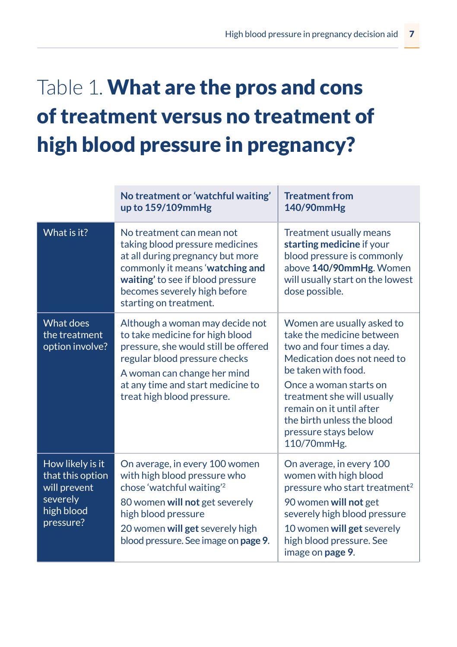## Table 1. What are the pros and cons of treatment versus no treatment of high blood pressure in pregnancy?

|                                                                                             | No treatment or 'watchful waiting'<br>up to $159/109$ mmHg                                                                                                                                                                                    | <b>Treatment from</b><br>140/90mmHg                                                                                                                                                                                                                                                                 |
|---------------------------------------------------------------------------------------------|-----------------------------------------------------------------------------------------------------------------------------------------------------------------------------------------------------------------------------------------------|-----------------------------------------------------------------------------------------------------------------------------------------------------------------------------------------------------------------------------------------------------------------------------------------------------|
| What is it?                                                                                 | No treatment can mean not<br>taking blood pressure medicines<br>at all during pregnancy but more<br>commonly it means 'watching and<br>waiting' to see if blood pressure<br>becomes severely high before<br>starting on treatment.            | <b>Treatment usually means</b><br>starting medicine if your<br>blood pressure is commonly<br>above 140/90mmHg. Women<br>will usually start on the lowest<br>dose possible.                                                                                                                          |
| What does<br>the treatment<br>option involve?                                               | Although a woman may decide not<br>to take medicine for high blood<br>pressure, she would still be offered<br>regular blood pressure checks<br>A woman can change her mind<br>at any time and start medicine to<br>treat high blood pressure. | Women are usually asked to<br>take the medicine between<br>two and four times a day.<br>Medication does not need to<br>be taken with food.<br>Once a woman starts on<br>treatment she will usually<br>remain on it until after<br>the birth unless the blood<br>pressure stays below<br>110/70mmHg. |
| How likely is it<br>that this option<br>will prevent<br>severely<br>high blood<br>pressure? | On average, in every 100 women<br>with high blood pressure who<br>chose 'watchful waiting'2<br>80 women will not get severely<br>high blood pressure<br>20 women will get severely high<br>blood pressure. See image on page 9.               | On average, in every 100<br>women with high blood<br>pressure who start treatment <sup>2</sup><br>90 women will not get<br>severely high blood pressure<br>10 women will get severely<br>high blood pressure. See<br>image on <b>page 9</b> .                                                       |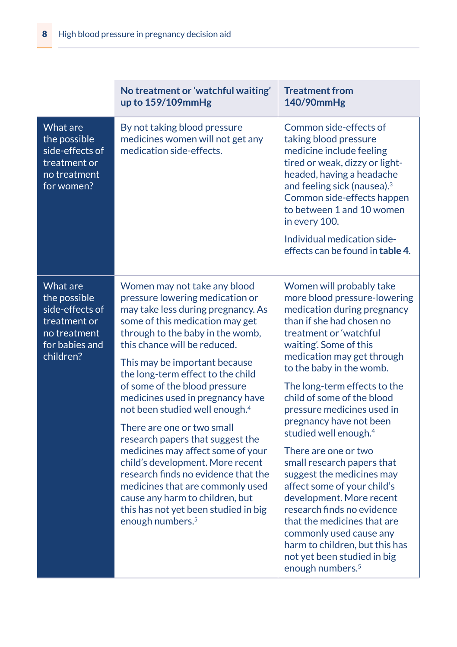|                                                                                                            | No treatment or 'watchful waiting'<br>up to 159/109mmHg                                                                                                                                                                                                                                                                                                                                                                                                                                                                                                                                                                                                                                                                                | <b>Treatment from</b><br>140/90mmHg                                                                                                                                                                                                                                                                                                                                                                                                                                                                                                                                                                                                                                                                                                   |  |
|------------------------------------------------------------------------------------------------------------|----------------------------------------------------------------------------------------------------------------------------------------------------------------------------------------------------------------------------------------------------------------------------------------------------------------------------------------------------------------------------------------------------------------------------------------------------------------------------------------------------------------------------------------------------------------------------------------------------------------------------------------------------------------------------------------------------------------------------------------|---------------------------------------------------------------------------------------------------------------------------------------------------------------------------------------------------------------------------------------------------------------------------------------------------------------------------------------------------------------------------------------------------------------------------------------------------------------------------------------------------------------------------------------------------------------------------------------------------------------------------------------------------------------------------------------------------------------------------------------|--|
| What are<br>the possible<br>side-effects of<br>treatment or<br>no treatment<br>for women?                  | By not taking blood pressure<br>medicines women will not get any<br>medication side-effects.                                                                                                                                                                                                                                                                                                                                                                                                                                                                                                                                                                                                                                           | Common side-effects of<br>taking blood pressure<br>medicine include feeling<br>tired or weak, dizzy or light-<br>headed, having a headache<br>and feeling sick (nausea). <sup>3</sup><br>Common side-effects happen<br>to between 1 and 10 women<br>in every 100.<br>Individual medication side-<br>effects can be found in table 4.                                                                                                                                                                                                                                                                                                                                                                                                  |  |
| What are<br>the possible<br>side-effects of<br>treatment or<br>no treatment<br>for babies and<br>children? | Women may not take any blood<br>pressure lowering medication or<br>may take less during pregnancy. As<br>some of this medication may get<br>through to the baby in the womb,<br>this chance will be reduced.<br>This may be important because<br>the long-term effect to the child<br>of some of the blood pressure<br>medicines used in pregnancy have<br>not been studied well enough. <sup>4</sup><br>There are one or two small<br>research papers that suggest the<br>medicines may affect some of your<br>child's development. More recent<br>research finds no evidence that the<br>medicines that are commonly used<br>cause any harm to children, but<br>this has not yet been studied in big<br>enough numbers. <sup>5</sup> | Women will probably take<br>more blood pressure-lowering<br>medication during pregnancy<br>than if she had chosen no<br>treatment or 'watchful<br>waiting'. Some of this<br>medication may get through<br>to the baby in the womb.<br>The long-term effects to the<br>child of some of the blood<br>pressure medicines used in<br>pregnancy have not been<br>studied well enough. <sup>4</sup><br>There are one or two<br>small research papers that<br>suggest the medicines may<br>affect some of your child's<br>development. More recent<br>research finds no evidence<br>that the medicines that are<br>commonly used cause any<br>harm to children, but this has<br>not yet been studied in big<br>enough numbers. <sup>5</sup> |  |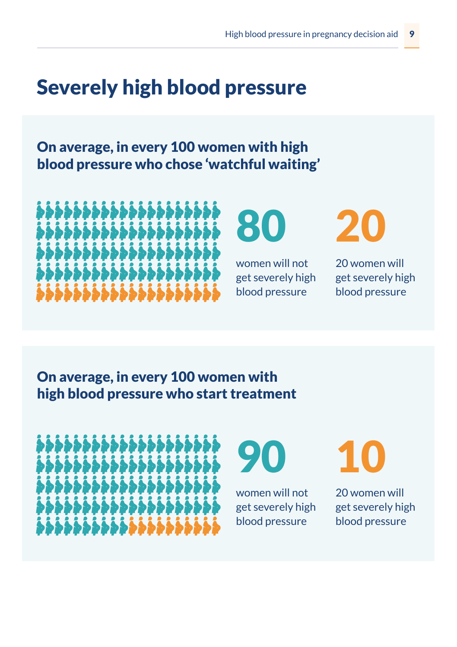### Severely high blood pressure

On average, in every 100 women with high blood pressure who chose 'watchful waiting'

**,,,,,,,,,,,,,,,,,,,,, ₽₽₽₽₽₽₽₽₽₽₽₽₽₽₽₽₽₽₽₽** ,,,,,,,,,,,,,,,,,,,,, ,,,,,,,,,,,,,,,,,,,,, ,,,,,,,,,,,,,,,,,,,,,

80

women will not get severely high blood pressure



20 women will get severely high blood pressure

On average, in every 100 women with high blood pressure who start treatment

\$\$\$\$\$\$\$\$\$\$\$\$\$\$\$\$\$\$\$\$ **、、、、、、、、、、、、、、、、、、、、、、、、、、、、、、、** ,,,,,,,,,,,,,,,,,,,,, ,,,,,,,,,,,,,,,,,,,,, ,,,,,,,,,,,,,,,,,,,,

90

women will not get severely high blood pressure

10

20 women will get severely high blood pressure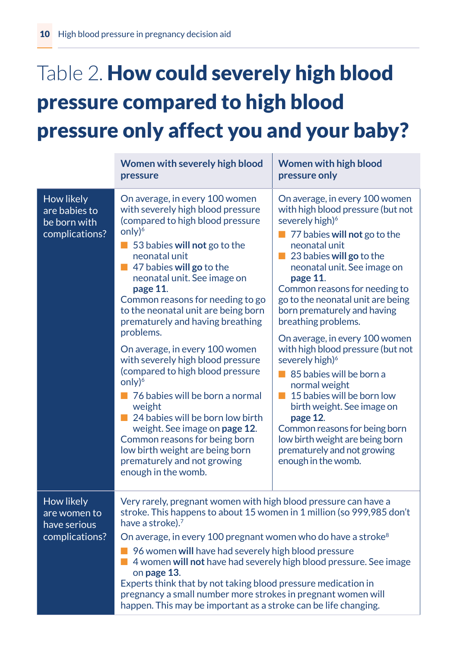# Table 2. How could severely high blood pressure compared to high blood pressure only affect you and your baby?

|                                                               | Women with severely high blood<br>pressure                                                                                                                                                                                                                                                                                                                                                                                                                                                                                                                                                                                                                                                                                                                              | <b>Women with high blood</b><br>pressure only                                                                                                                                                                                                                                                                                                                                                                                                                                                                                                                                                                                                                                                                                   |
|---------------------------------------------------------------|-------------------------------------------------------------------------------------------------------------------------------------------------------------------------------------------------------------------------------------------------------------------------------------------------------------------------------------------------------------------------------------------------------------------------------------------------------------------------------------------------------------------------------------------------------------------------------------------------------------------------------------------------------------------------------------------------------------------------------------------------------------------------|---------------------------------------------------------------------------------------------------------------------------------------------------------------------------------------------------------------------------------------------------------------------------------------------------------------------------------------------------------------------------------------------------------------------------------------------------------------------------------------------------------------------------------------------------------------------------------------------------------------------------------------------------------------------------------------------------------------------------------|
| How likely<br>are babies to<br>be born with<br>complications? | On average, in every 100 women<br>with severely high blood pressure<br>(compared to high blood pressure<br>only $)^6$<br>53 babies will not go to the<br>neonatal unit<br>$\blacksquare$ 47 babies will go to the<br>neonatal unit. See image on<br>page 11.<br>Common reasons for needing to go<br>to the neonatal unit are being born<br>prematurely and having breathing<br>problems.<br>On average, in every 100 women<br>with severely high blood pressure<br>(compared to high blood pressure<br>only) <sup>6</sup><br>■ 76 babies will be born a normal<br>weight<br>24 babies will be born low birth<br>weight. See image on page 12.<br>Common reasons for being born<br>low birth weight are being born<br>prematurely and not growing<br>enough in the womb. | On average, in every 100 women<br>with high blood pressure (but not<br>severely high) <sup>6</sup><br>$\blacksquare$ 77 babies will not go to the<br>neonatal unit<br>23 babies will go to the<br>ш<br>neonatal unit. See image on<br>page 11.<br>Common reasons for needing to<br>go to the neonatal unit are being<br>born prematurely and having<br>breathing problems.<br>On average, in every 100 women<br>with high blood pressure (but not<br>severely high) <sup>6</sup><br>85 babies will be born a<br>normal weight<br>15 babies will be born low<br>birth weight. See image on<br>page 12.<br>Common reasons for being born<br>low birth weight are being born<br>prematurely and not growing<br>enough in the womb. |
| How likely<br>are women to<br>have serious<br>complications?  | Very rarely, pregnant women with high blood pressure can have a<br>stroke. This happens to about 15 women in 1 million (so 999,985 don't<br>have a stroke). <sup>7</sup><br>On average, in every 100 pregnant women who do have a stroke <sup>8</sup><br>96 women will have had severely high blood pressure<br>4 women will not have had severely high blood pressure. See image<br>on page 13.<br>Experts think that by not taking blood pressure medication in<br>pregnancy a small number more strokes in pregnant women will<br>happen. This may be important as a stroke can be life changing.                                                                                                                                                                    |                                                                                                                                                                                                                                                                                                                                                                                                                                                                                                                                                                                                                                                                                                                                 |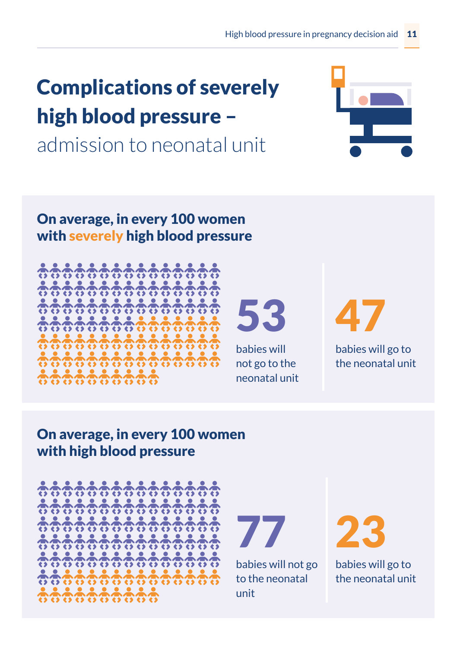### Complications of severely high blood pressure –

admission to neonatal unit







53 babies will not go to the

neonatal unit

47 babies will go to

the neonatal unit

#### On average, in every 100 women with high blood pressure



77

babies will not go to the neonatal unit

23

babies will go to the neonatal unit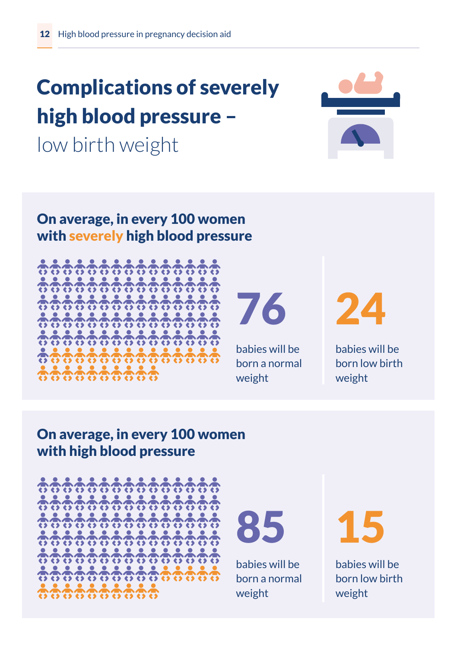# Complications of severely high blood pressure –

low birth weight



#### On average, in every 100 women with severely high blood pressure



76

babies will be born a normal weight

24

babies will be born low birth weight

#### On average, in every 100 women with high blood pressure





babies will be born a normal weight

15

babies will be born low birth weight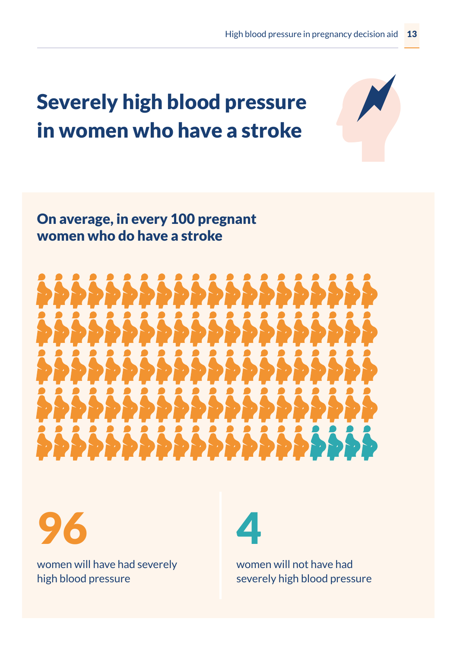### Severely high blood pressure in women who have a stroke

#### On average, in every 100 pregnant women who do have a stroke





women will have had severely high blood pressure



women will not have had severely high blood pressure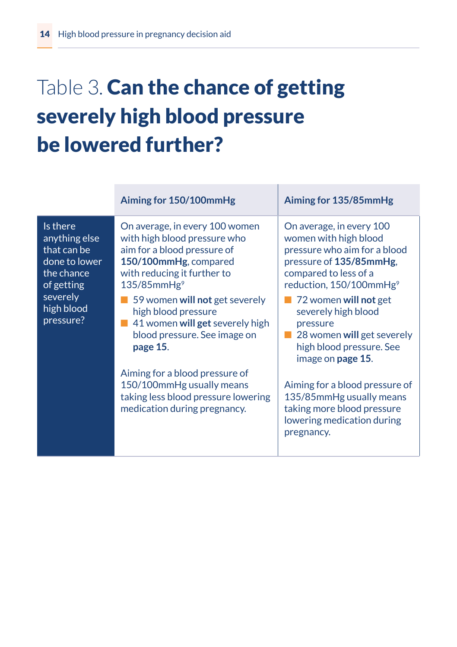### Table 3. Can the chance of getting severely high blood pressure be lowered further?

|                                                                                                             | Aiming for 150/100mmHg                                                                                                                                                     | Aiming for 135/85mmHg                                                                                                                                                        |
|-------------------------------------------------------------------------------------------------------------|----------------------------------------------------------------------------------------------------------------------------------------------------------------------------|------------------------------------------------------------------------------------------------------------------------------------------------------------------------------|
| Is there<br>anything else<br>$\overline{\mathsf{that}}$ can be<br>done to lower<br>the chance<br>of getting | On average, in every 100 women<br>with high blood pressure who<br>aim for a blood pressure of<br>150/100mmHg, compared<br>with reducing it further to<br>$135/85$ mm $Hg9$ | On average, in every 100<br>women with high blood<br>pressure who aim for a blood<br>pressure of 135/85mmHg.<br>compared to less of a<br>reduction, 150/100mmHg <sup>9</sup> |
| severely<br>high blood<br>pressure?                                                                         | 59 women will not get severely<br>high blood pressure<br>41 women will get severely high<br>blood pressure. See image on<br>page 15.                                       | 72 women will not get<br>severely high blood<br>pressure<br>28 women will get severely<br>high blood pressure. See<br>image on <b>page 15</b> .                              |
|                                                                                                             | Aiming for a blood pressure of<br>150/100mmHg usually means<br>taking less blood pressure lowering<br>medication during pregnancy.                                         | Aiming for a blood pressure of<br>135/85mmHg usually means<br>taking more blood pressure<br>lowering medication during<br>pregnancy.                                         |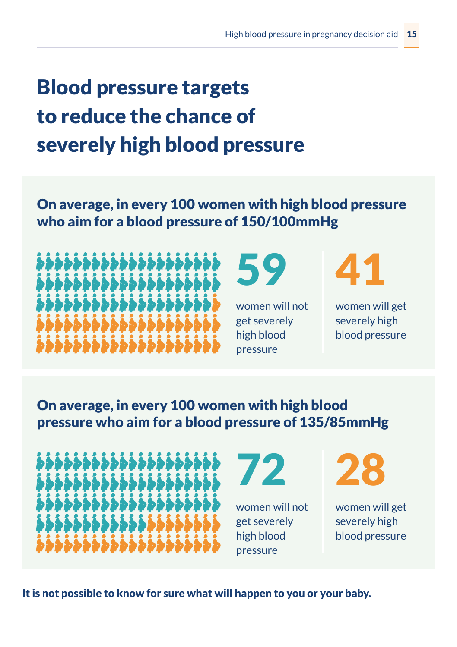## Blood pressure targets to reduce the chance of severely high blood pressure

On average, in every 100 women with high blood pressure who aim for a blood pressure of 150/100mmHg





women will not get severely high blood pressure



women will get severely high blood pressure

On average, in every 100 women with high blood pressure who aim for a blood pressure of 135/85mmHg





women will not get severely high blood pressure



women will get severely high blood pressure

It is not possible to know for sure what will happen to you or your baby.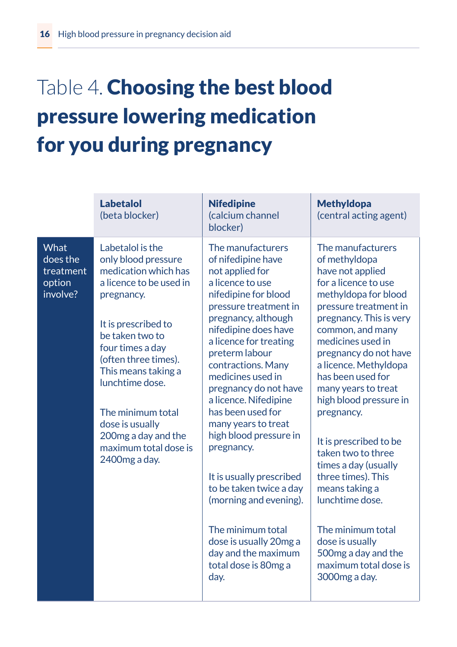### Table 4. Choosing the best blood pressure lowering medication for you during pregnancy

|                                                     | <b>Labetalol</b><br>(beta blocker)                                                                                                                                                                                                                                                                                                                 | <b>Nifedipine</b><br>(calcium channel<br>blocker)                                                                                                                                                                                                                                                                                                                                                                                                                                                                                                                                                  | <b>Methyldopa</b><br>(central acting agent)                                                                                                                                                                                                                                                                                                                                                                                                                                                                                                                                            |
|-----------------------------------------------------|----------------------------------------------------------------------------------------------------------------------------------------------------------------------------------------------------------------------------------------------------------------------------------------------------------------------------------------------------|----------------------------------------------------------------------------------------------------------------------------------------------------------------------------------------------------------------------------------------------------------------------------------------------------------------------------------------------------------------------------------------------------------------------------------------------------------------------------------------------------------------------------------------------------------------------------------------------------|----------------------------------------------------------------------------------------------------------------------------------------------------------------------------------------------------------------------------------------------------------------------------------------------------------------------------------------------------------------------------------------------------------------------------------------------------------------------------------------------------------------------------------------------------------------------------------------|
| What<br>does the<br>treatment<br>option<br>involve? | Labetalol is the<br>only blood pressure<br>medication which has<br>a licence to be used in<br>pregnancy.<br>It is prescribed to<br>be taken two to<br>four times a day<br>(often three times).<br>This means taking a<br>lunchtime dose.<br>The minimum total<br>dose is usually<br>200mg a day and the<br>maximum total dose is<br>2400 mg a day. | The manufacturers<br>of nifedipine have<br>not applied for<br>a licence to use<br>nifedipine for blood<br>pressure treatment in<br>pregnancy, although<br>nifedipine does have<br>a licence for treating<br>preterm labour<br>contractions. Many<br>medicines used in<br>pregnancy do not have<br>a licence. Nifedipine<br>has been used for<br>many years to treat<br>high blood pressure in<br>pregnancy.<br>It is usually prescribed<br>to be taken twice a day<br>(morning and evening).<br>The minimum total<br>dose is usually 20mg a<br>day and the maximum<br>total dose is 80mg a<br>day. | The manufacturers<br>of methyldopa<br>have not applied<br>for a licence to use<br>methyldopa for blood<br>pressure treatment in<br>pregnancy. This is very<br>common, and many<br>medicines used in<br>pregnancy do not have<br>a licence. Methyldopa<br>has been used for<br>many years to treat<br>high blood pressure in<br>pregnancy.<br>It is prescribed to be<br>taken two to three<br>times a day (usually<br>three times). This<br>means taking a<br>lunchtime dose.<br>The minimum total<br>dose is usually<br>500 mg a day and the<br>maximum total dose is<br>3000mg a day. |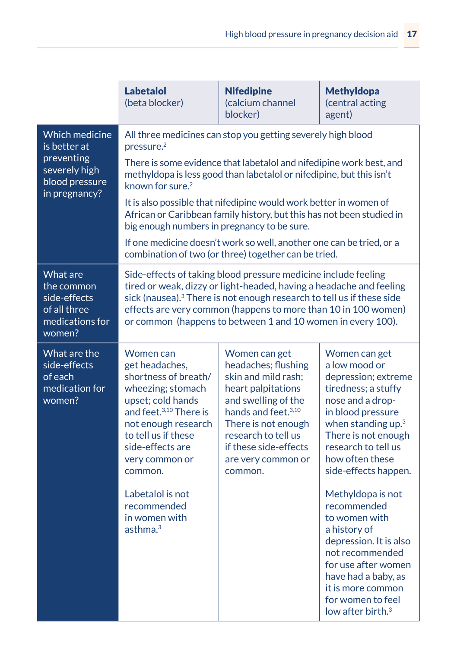|                                                                                                         | <b>Labetalol</b><br>(beta blocker)                                                                                                                                                                                                                                                                                                                                                                                                                                                                                                                                                                                                             | <b>Nifedipine</b><br>(calcium channel<br>blocker) | <b>Methyldopa</b><br>(central acting<br>agent)                                                                                                                                                                                                                                                                                                                                                            |  |
|---------------------------------------------------------------------------------------------------------|------------------------------------------------------------------------------------------------------------------------------------------------------------------------------------------------------------------------------------------------------------------------------------------------------------------------------------------------------------------------------------------------------------------------------------------------------------------------------------------------------------------------------------------------------------------------------------------------------------------------------------------------|---------------------------------------------------|-----------------------------------------------------------------------------------------------------------------------------------------------------------------------------------------------------------------------------------------------------------------------------------------------------------------------------------------------------------------------------------------------------------|--|
| <b>Which medicine</b><br>is better at<br>preventing<br>severely high<br>blood pressure<br>in pregnancy? | All three medicines can stop you getting severely high blood<br>$p$ ressure. $2$<br>There is some evidence that labetalol and nifedipine work best, and<br>methyldopa is less good than labetalol or nifedipine, but this isn't<br>known for sure. <sup>2</sup><br>It is also possible that nifedipine would work better in women of<br>African or Caribbean family history, but this has not been studied in<br>big enough numbers in pregnancy to be sure.<br>If one medicine doesn't work so well, another one can be tried, or a<br>combination of two (or three) together can be tried.                                                   |                                                   |                                                                                                                                                                                                                                                                                                                                                                                                           |  |
| What are<br>the common<br>side-effects<br>of all three<br>medications for<br>women?                     | Side-effects of taking blood pressure medicine include feeling<br>tired or weak, dizzy or light-headed, having a headache and feeling<br>sick (nausea). <sup>3</sup> There is not enough research to tell us if these side<br>effects are very common (happens to more than 10 in 100 women)<br>or common (happens to between 1 and 10 women in every 100).                                                                                                                                                                                                                                                                                    |                                                   |                                                                                                                                                                                                                                                                                                                                                                                                           |  |
| What are the<br>side-effects<br>of each<br>medication for<br>women?                                     | Women can<br>Women can get<br>Women can get<br>get headaches,<br>headaches; flushing<br>a low mood or<br>shortness of breath/<br>skin and mild rash:<br>wheezing; stomach<br>heart palpitations<br>upset; cold hands<br>and swelling of the<br>and feet. <sup>3,10</sup> There is<br>hands and feet. <sup>3,10</sup><br>not enough research<br>There is not enough<br>to tell us if these<br>research to tell us<br>side-effects are<br>if these side-effects<br>very common or<br>are very common or<br>common.<br>common.<br>Labetalol is not<br>recommended<br>recommended<br>in women with<br>to women with<br>asthma. $3$<br>a history of |                                                   | depression; extreme<br>tiredness; a stuffy<br>nose and a drop-<br>in blood pressure<br>when standing up. <sup>3</sup><br>There is not enough<br>research to tell us<br>how often these<br>side-effects happen.<br>Methyldopa is not<br>depression. It is also<br>not recommended<br>for use after women<br>have had a baby, as<br>it is more common<br>for women to feel<br>low after birth. <sup>3</sup> |  |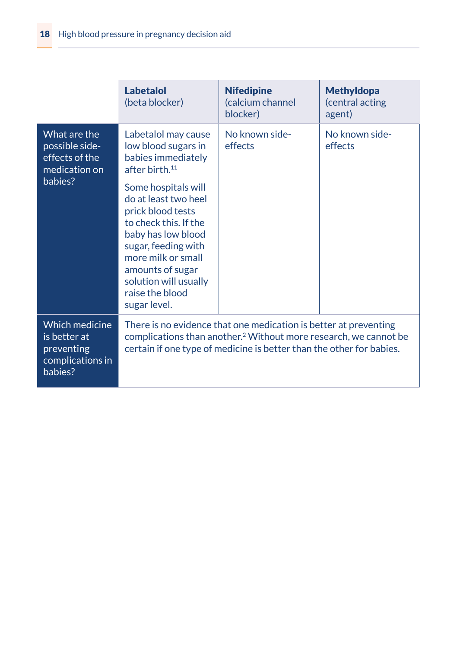|                                                                             | <b>Labetalol</b><br>(beta blocker)                                                                                                                                                                                                           | <b>Nifedipine</b><br>(calcium channel<br>blocker) | <b>Methyldopa</b><br>(central acting<br>agent) |
|-----------------------------------------------------------------------------|----------------------------------------------------------------------------------------------------------------------------------------------------------------------------------------------------------------------------------------------|---------------------------------------------------|------------------------------------------------|
| What are the<br>possible side-<br>effects of the<br>medication on           | Labetalol may cause<br>low blood sugars in<br>babies immediately<br>after birth. <sup>11</sup>                                                                                                                                               | No known side-<br>effects                         | No known side-<br>effects                      |
| babies?                                                                     | Some hospitals will<br>do at least two heel<br>prick blood tests<br>to check this. If the<br>baby has low blood<br>sugar, feeding with<br>more milk or small<br>amounts of sugar<br>solution will usually<br>raise the blood<br>sugar level. |                                                   |                                                |
| Which medicine<br>is better at<br>preventing<br>complications in<br>babies? | There is no evidence that one medication is better at preventing<br>complications than another. <sup>2</sup> Without more research, we cannot be<br>certain if one type of medicine is better than the other for babies.                     |                                                   |                                                |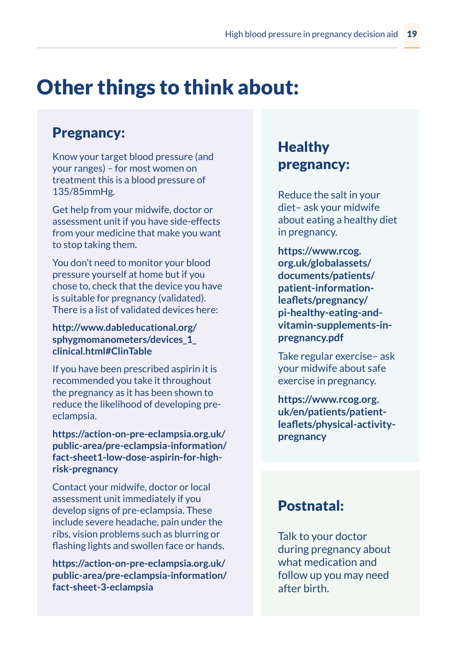### Other things to think about:

#### Pregnancy:

Know your target blood pressure (and your ranges) – for most women on treatment this is a blood pressure of 135/85mmHg.

Get help from your midwife, doctor or assessment unit if you have side-effects from your medicine that make you want to stop taking them.

You don't need to monitor your blood pressure yourself at home but if you chose to, check that the device you have is suitable for pregnancy (validated). There is a list of validated devices here:

**http://www.dableducational.org/ sphygmomanometers/devices\_1\_ clinical.html#ClinTable**

If you have been prescribed aspirin it is recommended you take it throughout the pregnancy as it has been shown to reduce the likelihood of developing preeclampsia.

**https://action-on-pre-eclampsia.org.uk/ public-area/pre-eclampsia-information/ fact-sheet1-low-dose-aspirin-for-highrisk-pregnancy**

Contact your midwife, doctor or local assessment unit immediately if you develop signs of pre-eclampsia. These include severe headache, pain under the ribs, vision problems such as blurring or flashing lights and swollen face or hands.

**https://action-on-pre-eclampsia.org.uk/ public-area/pre-eclampsia-information/ fact-sheet-3-eclampsia**

#### **Healthy** pregnancy:

Reduce the salt in your diet– ask your midwife about eating a healthy diet in pregnancy.

**https://www.rcog. org.uk/globalassets/ documents/patients/ patient-informationleaflets/pregnancy/ pi-healthy-eating-andvitamin-supplements-inpregnancy.pdf**

Take regular exercise– ask your midwife about safe exercise in pregnancy.

**https://www.rcog.org. uk/en/patients/patientleaflets/physical-activitypregnancy**

#### Postnatal:

Talk to your doctor during pregnancy about what medication and follow up you may need after birth.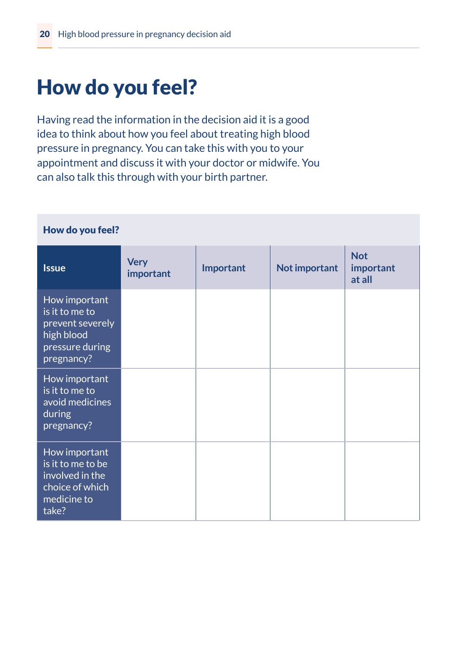### How do you feel?

Having read the information in the decision aid it is a good idea to think about how you feel about treating high blood pressure in pregnancy. You can take this with you to your appointment and discuss it with your doctor or midwife. You can also talk this through with your birth partner.

| How do you feel?                                                                                   |                          |           |               |                                   |
|----------------------------------------------------------------------------------------------------|--------------------------|-----------|---------------|-----------------------------------|
| <b>Issue</b>                                                                                       | <b>Very</b><br>important | Important | Not important | <b>Not</b><br>important<br>at all |
| How important<br>is it to me to<br>prevent severely<br>high blood<br>pressure during<br>pregnancy? |                          |           |               |                                   |
| How important<br>is it to me to<br>avoid medicines<br>during<br>pregnancy?                         |                          |           |               |                                   |
| How important<br>is it to me to be<br>involved in the<br>choice of which<br>medicine to<br>take?   |                          |           |               |                                   |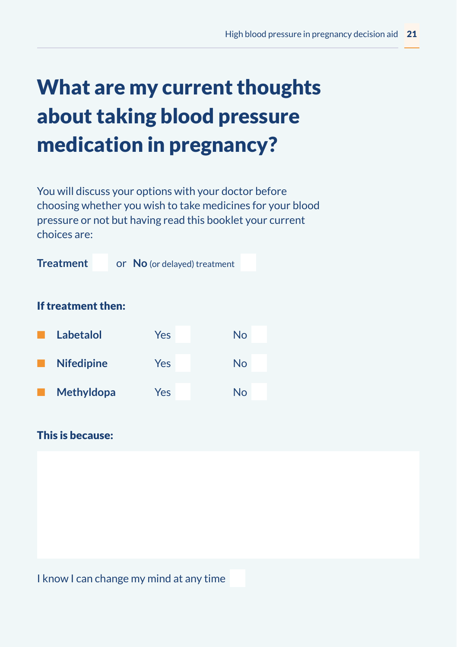### What are my current thoughts about taking blood pressure medication in pregnancy?

You will discuss your options with your doctor before choosing whether you wish to take medicines for your blood pressure or not but having read this booklet your current choices are:



#### This is because:

I know I can change my mind at any time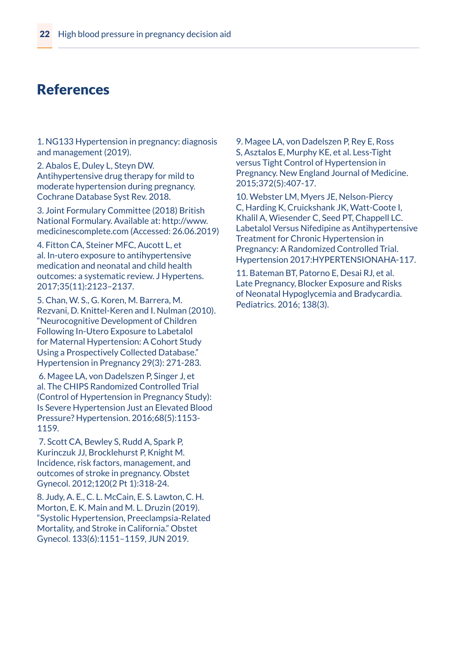#### References

1. NG133 Hypertension in pregnancy: diagnosis and management (2019).

2. Abalos E, Duley L, Steyn DW. Antihypertensive drug therapy for mild to moderate hypertension during pregnancy. Cochrane Database Syst Rev. 2018.

3. Joint Formulary Committee (2018) British National Formulary. Available at: http://www. medicinescomplete.com (Accessed: 26.06.2019)

4. Fitton CA, Steiner MFC, Aucott L, et al. In-utero exposure to antihypertensive medication and neonatal and child health outcomes: a systematic review. J Hypertens. 2017;35(11):2123–2137.

5. Chan, W. S., G. Koren, M. Barrera, M. Rezvani, D. Knittel-Keren and I. Nulman (2010). "Neurocognitive Development of Children Following In-Utero Exposure to Labetalol for Maternal Hypertension: A Cohort Study Using a Prospectively Collected Database." Hypertension in Pregnancy 29(3): 271-283.

 6. Magee LA, von Dadelszen P, Singer J, et al. The CHIPS Randomized Controlled Trial (Control of Hypertension in Pregnancy Study): Is Severe Hypertension Just an Elevated Blood Pressure? Hypertension. 2016;68(5):1153- 1159.

 7. Scott CA, Bewley S, Rudd A, Spark P, Kurinczuk JJ, Brocklehurst P, Knight M. Incidence, risk factors, management, and outcomes of stroke in pregnancy. Obstet Gynecol. 2012;120(2 Pt 1):318-24.

8. Judy, A. E., C. L. McCain, E. S. Lawton, C. H. Morton, E. K. Main and M. L. Druzin (2019). "Systolic Hypertension, Preeclampsia-Related Mortality, and Stroke in California." Obstet Gynecol. 133(6):1151–1159, JUN 2019.

9. Magee LA, von Dadelszen P, Rey E, Ross S, Asztalos E, Murphy KE, et al. Less-Tight versus Tight Control of Hypertension in Pregnancy. New England Journal of Medicine. 2015;372(5):407-17.

10. Webster LM, Myers JE, Nelson-Piercy C, Harding K, Cruickshank JK, Watt-Coote I, Khalil A, Wiesender C, Seed PT, Chappell LC. Labetalol Versus Nifedipine as Antihypertensive Treatment for Chronic Hypertension in Pregnancy: A Randomized Controlled Trial. Hypertension 2017:HYPERTENSIONAHA-117.

11. Bateman BT, Patorno E, Desai RJ, et al. Late Pregnancy, Blocker Exposure and Risks of Neonatal Hypoglycemia and Bradycardia. Pediatrics. 2016; 138(3).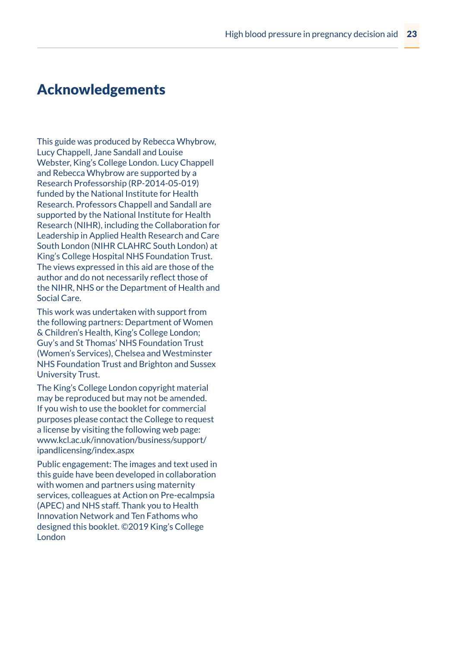#### Acknowledgements

This guide was produced by Rebecca Whybrow, Lucy Chappell, Jane Sandall and Louise Webster, King's College London. Lucy Chappell and Rebecca Whybrow are supported by a Research Professorship (RP-2014-05-019) funded by the National Institute for Health Research. Professors Chappell and Sandall are supported by the National Institute for Health Research (NIHR), including the Collaboration for Leadership in Applied Health Research and Care South London (NIHR CLAHRC South London) at King's College Hospital NHS Foundation Trust. The views expressed in this aid are those of the author and do not necessarily reflect those of the NIHR, NHS or the Department of Health and Social Care.

This work was undertaken with support from the following partners: Department of Women & Children's Health, King's College London; Guy's and St Thomas' NHS Foundation Trust (Women's Services), Chelsea and Westminster NHS Foundation Trust and Brighton and Sussex University Trust.

The King's College London copyright material may be reproduced but may not be amended. If you wish to use the booklet for commercial purposes please contact the College to request a license by visiting the following web page: www.kcl.ac.uk/innovation/business/support/ ipandlicensing/index.aspx

Public engagement: The images and text used in this guide have been developed in collaboration with women and partners using maternity services, colleagues at Action on Pre-ecalmpsia (APEC) and NHS staff. Thank you to Health Innovation Network and Ten Fathoms who designed this booklet. ©2019 King's College London